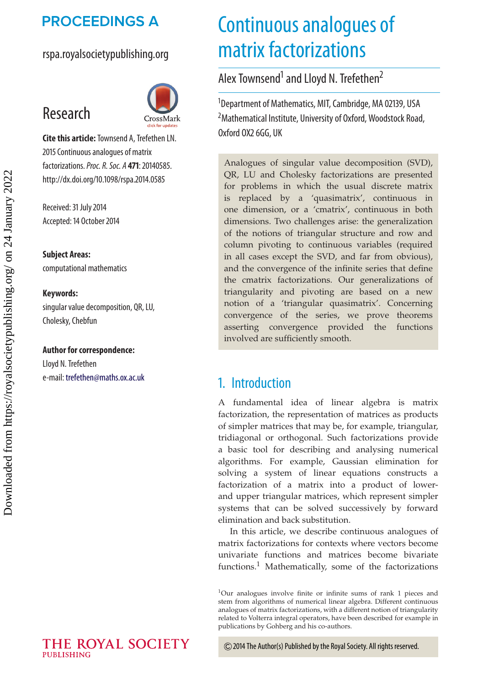## **PROCEEDINGS A**

#### rspa.royalsocietypublishing.org



**Cite this article:**Townsend A, Trefethen LN. 2015 Continuous analogues of matrix factorizations.*Proc. R. Soc. A* **471**: 20140585. http://dx.doi.org/10.1098/rspa.2014.0585

Received: 31 July 2014 Accepted: 14 October 2014

Research

**Subject Areas:** computational mathematics

#### **Keywords:**

singular value decomposition, QR, LU, Cholesky, Chebfun

#### **Author for correspondence:**

Lloyd N. Trefethen e-mail: [trefethen@maths.ox.ac.uk](mailto:trefethen@maths.ox.ac.uk)

# Continuous analogues of matrix factorizations

## Alex Townsend<sup>1</sup> and Lloyd N. Trefethen<sup>2</sup>

1 Department of Mathematics, MIT, Cambridge, MA 02139, USA 2 Mathematical Institute, University of Oxford, Woodstock Road, Oxford OX2 6GG, UK

Analogues of singular value decomposition (SVD), QR, LU and Cholesky factorizations are presented for problems in which the usual discrete matrix is replaced by a 'quasimatrix', continuous in one dimension, or a 'cmatrix', continuous in both dimensions. Two challenges arise: the generalization of the notions of triangular structure and row and column pivoting to continuous variables (required in all cases except the SVD, and far from obvious), and the convergence of the infinite series that define the cmatrix factorizations. Our generalizations of triangularity and pivoting are based on a new notion of a 'triangular quasimatrix'. Concerning convergence of the series, we prove theorems asserting convergence provided the functions involved are sufficiently smooth.

## <span id="page-0-0"></span>1. Introduction

A fundamental idea of linear algebra is matrix factorization, the representation of matrices as products of simpler matrices that may be, for example, triangular, tridiagonal or orthogonal. Such factorizations provide a basic tool for describing and analysing numerical algorithms. For example, Gaussian elimination for solving a system of linear equations constructs a factorization of a matrix into a product of lowerand upper triangular matrices, which represent simpler systems that can be solved successively by forward elimination and back substitution.

In this article, we describe continuous analogues of matrix factorizations for contexts where vectors become univariate functions and matrices become bivariate functions. $1$  Mathematically, some of the factorizations

2014 The Author(s) Published by the Royal Society. All rights reserved.

<sup>1</sup>Our analogues involve finite or infinite sums of rank 1 pieces and stem from algorithms of numerical linear algebra. Different continuous analogues of matrix factorizations, with a different notion of triangularity related to Volterra integral operators, have been described for example in publications by Gohberg and his co-authors.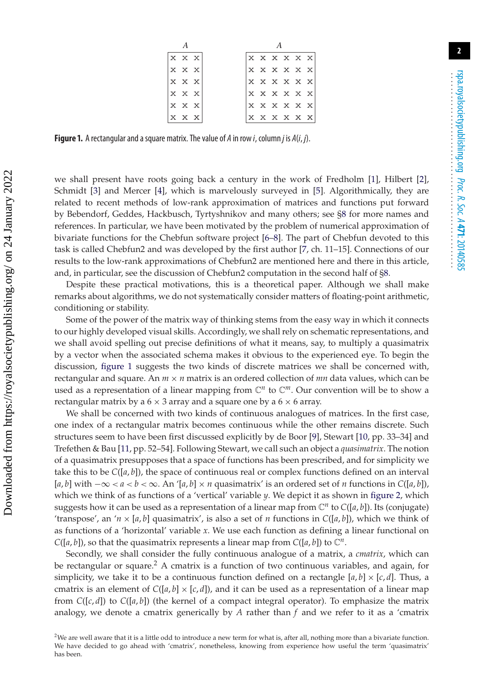| x x x |  | $X$ X X X X X $ $  |  |  |  |  |  |  |
|-------|--|--------------------|--|--|--|--|--|--|
| x x x |  | x x x x x x        |  |  |  |  |  |  |
| X X X |  |                    |  |  |  |  |  |  |
| x x x |  | <b>x x x x x x</b> |  |  |  |  |  |  |
| X X X |  | x x x x x x        |  |  |  |  |  |  |
| ххх   |  | x x x x x x        |  |  |  |  |  |  |

<span id="page-1-0"></span>**Figure 1.** A rectangular and a square matrix. The value of *A* in row *i*, column *j* is *A*(*i*, *j*).

we shall present have roots going back a century in the work of Fredholm [\[1\]](#page-19-0), Hilbert [\[2\]](#page-19-1), Schmidt [\[3\]](#page-19-2) and Mercer [\[4\]](#page-19-3), which is marvelously surveyed in [\[5\]](#page-19-4). Algorithmically, they are related to recent methods of low-rank approximation of matrices and functions put forward by Bebendorf, Geddes, Hackbusch, Tyrtyshnikov and many others; see [§8](#page-13-0) for more names and references. In particular, we have been motivated by the problem of numerical approximation of bivariate functions for the Chebfun software project [\[6–](#page-19-5)[8\]](#page-19-6). The part of Chebfun devoted to this task is called Chebfun2 and was developed by the first author [\[7,](#page-19-7) ch. 11–15]. Connections of our results to the low-rank approximations of Chebfun2 are mentioned here and there in this article, and, in particular, see the discussion of Chebfun2 computation in the second half of [§8.](#page-13-0)

Despite these practical motivations, this is a theoretical paper. Although we shall make remarks about algorithms, we do not systematically consider matters of floating-point arithmetic, conditioning or stability.

Some of the power of the matrix way of thinking stems from the easy way in which it connects to our highly developed visual skills. Accordingly, we shall rely on schematic representations, and we shall avoid spelling out precise definitions of what it means, say, to multiply a quasimatrix by a vector when the associated schema makes it obvious to the experienced eye. To begin the discussion, [figure 1](#page-1-0) suggests the two kinds of discrete matrices we shall be concerned with, rectangular and square. An  $m \times n$  matrix is an ordered collection of  $mn$  data values, which can be used as a representation of a linear mapping from  $\mathbb{C}^n$  to  $\mathbb{C}^m$ . Our convention will be to show a rectangular matrix by a  $6 \times 3$  array and a square one by a  $6 \times 6$  array.

We shall be concerned with two kinds of continuous analogues of matrices. In the first case, one index of a rectangular matrix becomes continuous while the other remains discrete. Such structures seem to have been first discussed explicitly by de Boor [\[9\]](#page-19-8), Stewart [\[10,](#page-19-9) pp. 33–34] and Trefethen & Bau [\[11,](#page-19-10) pp. 52–54]. Following Stewart, we call such an object a *quasimatrix*. The notion of a quasimatrix presupposes that a space of functions has been prescribed, and for simplicity we take this to be *C*([*a*, *b*]), the space of continuous real or complex functions defined on an interval  $[a, b]$  with  $-\infty < a < b < \infty$ . An ' $[a, b] \times n$  quasimatrix' is an ordered set of *n* functions in *C*( $[a, b]$ ), which we think of as functions of a 'vertical' variable *y*. We depict it as shown in [figure 2,](#page-2-0) which suggests how it can be used as a representation of a linear map from  $\mathbb{C}^n$  to  $C([a, b])$ . Its (conjugate) 'transpose', an '*n*  $\times$  [a, *b*] quasimatrix', is also a set of *n* functions in  $C([a, b])$ , which we think of as functions of a 'horizontal' variable *x*. We use each function as defining a linear functional on *C*([*a*, *b*]), so that the quasimatrix represents a linear map from *C*([*a*, *b*]) to  $\mathbb{C}^n$ .

Secondly, we shall consider the fully continuous analogue of a matrix, a *cmatrix*, which can be rectangular or square.<sup>2</sup> A cmatrix is a function of two continuous variables, and again, for simplicity, we take it to be a continuous function defined on a rectangle  $[a, b] \times [c, d]$ . Thus, a cmatrix is an element of  $C([a, b] \times [c, d])$ , and it can be used as a representation of a linear map from  $C([c, d])$  to  $C([a, b])$  (the kernel of a compact integral operator). To emphasize the matrix analogy, we denote a cmatrix generically by *A* rather than *f* and we refer to it as a 'cmatrix

 $2$ We are well aware that it is a little odd to introduce a new term for what is, after all, nothing more than a bivariate function. We have decided to go ahead with 'cmatrix', nonetheless, knowing from experience how useful the term 'quasimatrix' has been.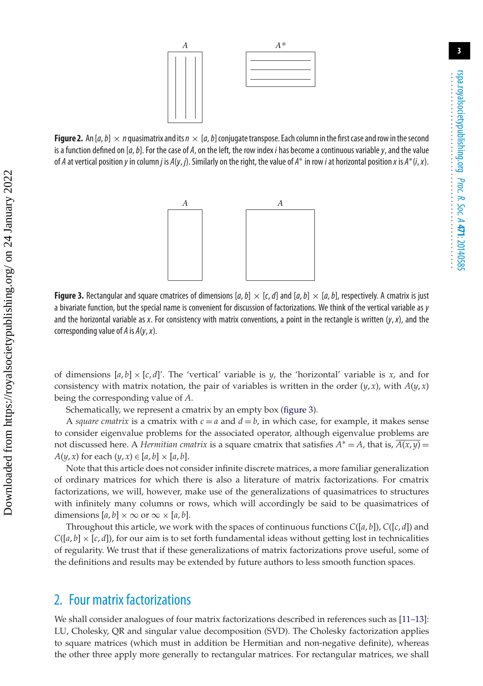

<span id="page-2-0"></span>**Figure 2.** An [a, b]  $\times$  n quasimatrix and its  $n \times [a, b]$  conjugate transpose. Each column in the first case and row in the second is a function defined on [*a*,*b*]. For the case of *A*, on the left, the row index*i* has become a continuous variable*y*, and the value of *A* at vertical position *y* in column *j* is *A*(*y*, *j*). Similarly on the right, the value of *A*<sup>∗</sup> in row *i*at horizontal position *x* is *A*<sup>∗</sup>(*i*, *x*).



<span id="page-2-1"></span>**Figure 3.** Rectangular and square cmatrices of dimensions [a, b]  $\times$  [c, d] and [a, b]  $\times$  [a, b], respectively. A cmatrix is just a bivariate function, but the special name is convenient for discussion of factorizations. We think of the vertical variable as *y* and the horizontal variable as  $x$ . For consistency with matrix conventions, a point in the rectangle is written  $(y, x)$ , and the corresponding value of *A* is *A*(*y*, *x*).

of dimensions  $[a, b] \times [c, d]$ . The 'vertical' variable is *y*, the 'horizontal' variable is *x*, and for consistency with matrix notation, the pair of variables is written in the order  $(y, x)$ , with  $A(y, x)$ being the corresponding value of *A*.

Schematically, we represent a cmatrix by an empty box [\(figure 3\)](#page-2-1).

A *square cmatrix* is a cmatrix with  $c = a$  and  $d = b$ , in which case, for example, it makes sense to consider eigenvalue problems for the associated operator, although eigenvalue problems are not discussed here. A *Hermitian cmatrix* is a square cmatrix that satisfies  $A^* = A$ , that is,  $\overline{A(x,y)} = A$  $A(y, x)$  for each  $(y, x) \in [a, b] \times [a, b]$ .

Note that this article does not consider infinite discrete matrices, a more familiar generalization of ordinary matrices for which there is also a literature of matrix factorizations. For cmatrix factorizations, we will, however, make use of the generalizations of quasimatrices to structures with infinitely many columns or rows, which will accordingly be said to be quasimatrices of dimensions  $[a, b] \times \infty$  or  $\infty \times [a, b]$ .

Throughout this article, we work with the spaces of continuous functions  $C([a, b])$ ,  $C([c, d])$  and  $C([a, b] \times [c, d])$ , for our aim is to set forth fundamental ideas without getting lost in technicalities of regularity. We trust that if these generalizations of matrix factorizations prove useful, some of the definitions and results may be extended by future authors to less smooth function spaces.

#### <span id="page-2-2"></span>2. Four matrix factorizations

We shall consider analogues of four matrix factorizations described in references such as [\[11–](#page-19-10)[13\]](#page-19-11): LU, Cholesky, QR and singular value decomposition (SVD). The Cholesky factorization applies to square matrices (which must in addition be Hermitian and non-negative definite), whereas the other three apply more generally to rectangular matrices. For rectangular matrices, we shall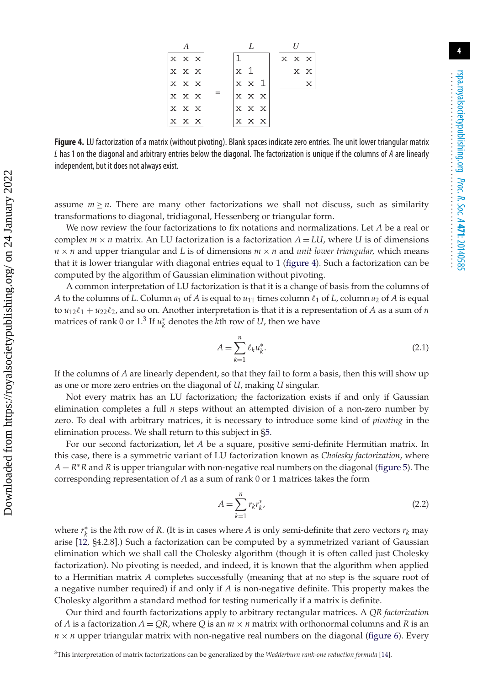| x x x |       |  |   |       |  | X X X |     |
|-------|-------|--|---|-------|--|-------|-----|
| x x x |       |  | X |       |  |       | X X |
| x x x |       |  |   | x x 1 |  |       |     |
| x x x |       |  |   | X X X |  |       |     |
| X X X |       |  |   | X X X |  |       |     |
|       | X X X |  |   | x x x |  |       |     |

<span id="page-3-0"></span>**Figure 4.** LU factorization of a matrix (without pivoting). Blank spaces indicate zero entries. The unit lower triangular matrix *L* has 1 on the diagonal and arbitrary entries below the diagonal. The factorization is unique if the columns of *A* are linearly independent, but it does not always exist.

assume  $m \ge n$ . There are many other factorizations we shall not discuss, such as similarity transformations to diagonal, tridiagonal, Hessenberg or triangular form.

We now review the four factorizations to fix notations and normalizations. Let *A* be a real or complex  $m \times n$  matrix. An LU factorization is a factorization  $A = LU$ , where U is of dimensions  $n \times n$  and upper triangular and *L* is of dimensions  $m \times n$  and *unit lower triangular*, which means that it is lower triangular with diagonal entries equal to 1 [\(figure 4\)](#page-3-0). Such a factorization can be computed by the algorithm of Gaussian elimination without pivoting.

A common interpretation of LU factorization is that it is a change of basis from the columns of *A* to the columns of *L*. Column  $a_1$  of *A* is equal to  $u_{11}$  times column  $\ell_1$  of *L*, column  $a_2$  of *A* is equal to  $u_{12}\ell_1 + u_{22}\ell_2$ , and so on. Another interpretation is that it is a representation of *A* as a sum of *n* matrices of rank 0 or  $1<sup>3</sup>$  If  $u_k^*$  denotes the *k*th row of *U*, then we have

$$
A = \sum_{k=1}^{n} \ell_k u_k^*.
$$
 (2.1)

If the columns of *A* are linearly dependent, so that they fail to form a basis, then this will show up as one or more zero entries on the diagonal of *U*, making *U* singular.

 Downloaded from https://royalsocietypublishing.org/ on 24 January 2022 Oownloaded from https://royalsocietypublishing.org/ on 24 January 2022

Not every matrix has an LU factorization; the factorization exists if and only if Gaussian elimination completes a full *n* steps without an attempted division of a non-zero number by zero. To deal with arbitrary matrices, it is necessary to introduce some kind of *pivoting* in the elimination process. We shall return to this subject in [§5.](#page-8-0)

For our second factorization, let *A* be a square, positive semi-definite Hermitian matrix. In this case, there is a symmetric variant of LU factorization known as *Cholesky factorization*, where  $A = R<sup>*</sup>R$  and *R* is upper triangular with non-negative real numbers on the diagonal [\(figure 5\)](#page-4-0). The corresponding representation of *A* as a sum of rank 0 or 1 matrices takes the form

$$
A = \sum_{k=1}^{n} r_k r_{k'}^{*} \tag{2.2}
$$

where  $r_k^*$  is the *k*th row of *R*. (It is in cases where *A* is only semi-definite that zero vectors  $r_k$  may arise [\[12,](#page-19-12) §4.2.8].) Such a factorization can be computed by a symmetrized variant of Gaussian elimination which we shall call the Cholesky algorithm (though it is often called just Cholesky factorization). No pivoting is needed, and indeed, it is known that the algorithm when applied to a Hermitian matrix *A* completes successfully (meaning that at no step is the square root of a negative number required) if and only if *A* is non-negative definite. This property makes the Cholesky algorithm a standard method for testing numerically if a matrix is definite.

Our third and fourth factorizations apply to arbitrary rectangular matrices. A *QR factorization* of *A* is a factorization  $A = QR$ , where *Q* is an  $m \times n$  matrix with orthonormal columns and *R* is an  $n \times n$  upper triangular matrix with non-negative real numbers on the diagonal [\(figure 6\)](#page-4-1). Every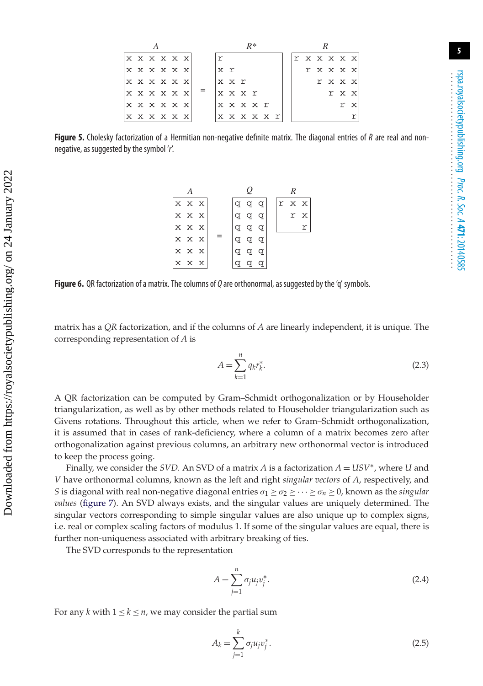<span id="page-4-0"></span>**Figure 5.** Cholesky factorization of a Hermitian non-negative definite matrix. The diagonal entries of *R* are real and nonnegative, as suggested by the symbol '*r*'.

| $\mathbf X\ \mathbf X\ \mathbf X$ |   | p p p |   |  | r x x |     |
|-----------------------------------|---|-------|---|--|-------|-----|
| X X X                             | a | q q   |   |  |       | r x |
| X X X                             | q | qq    |   |  |       |     |
| X X X                             | q | q     | q |  |       |     |
| X X X                             | a | q q   |   |  |       |     |
| X X<br>X                          | a |       |   |  |       |     |

<span id="page-4-1"></span>**Figure 6.** QR factorization of a matrix. The columns of *Q* are orthonormal, as suggested by the 'q' symbols.

matrix has a *QR* factorization, and if the columns of *A* are linearly independent, it is unique. The corresponding representation of *A* is

$$
A = \sum_{k=1}^{n} q_k r_k^*.
$$
 (2.3)

A QR factorization can be computed by Gram–Schmidt orthogonalization or by Householder triangularization, as well as by other methods related to Householder triangularization such as Givens rotations. Throughout this article, when we refer to Gram–Schmidt orthogonalization, it is assumed that in cases of rank-deficiency, where a column of a matrix becomes zero after orthogonalization against previous columns, an arbitrary new orthonormal vector is introduced to keep the process going.

Finally, we consider the *SVD*. An *SVD* of a matrix *A* is a factorization  $A = USV^*$ , where *U* and *V* have orthonormal columns, known as the left and right *singular vectors* of *A*, respectively, and *S* is diagonal with real non-negative diagonal entries  $\sigma_1 \geq \sigma_2 \geq \cdots \geq \sigma_n \geq 0$ , known as the *singular values* [\(figure 7\)](#page-5-0). An SVD always exists, and the singular values are uniquely determined. The singular vectors corresponding to simple singular values are also unique up to complex signs, i.e. real or complex scaling factors of modulus 1. If some of the singular values are equal, there is further non-uniqueness associated with arbitrary breaking of ties.

The SVD corresponds to the representation

$$
A = \sum_{j=1}^{n} \sigma_j u_j v_j^*.
$$
 (2.4)

For any *k* with  $1 \leq k \leq n$ , we may consider the partial sum

$$
A_k = \sum_{j=1}^k \sigma_j u_j v_j^*.
$$
\n
$$
(2.5)
$$

rspa.royalsocietypublishing.org

...................................................

*Proc. R. Soc. A* **471**: 20140585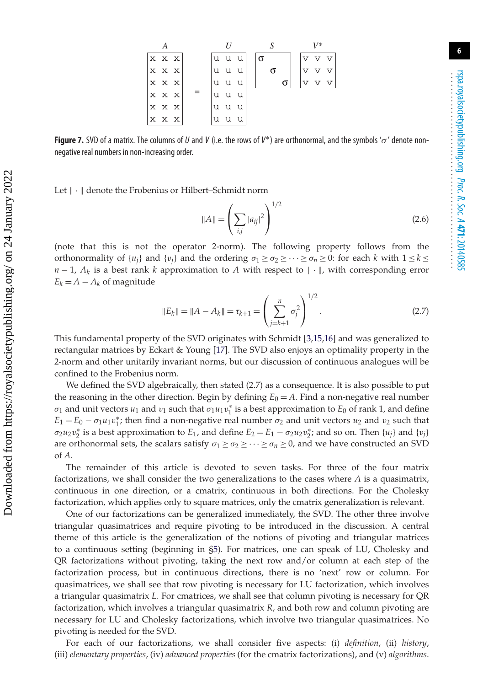| x x x |  |     | u u u |   | $\sigma$ |   |  | V V V |   |
|-------|--|-----|-------|---|----------|---|--|-------|---|
| x x x |  | u   | u     | u |          |   |  | v v v |   |
| x x x |  | u u |       | u |          | σ |  | v v   | V |
| x x x |  | u   | u u   |   |          |   |  |       |   |
| x x x |  | u   | u u   |   |          |   |  |       |   |
| x x x |  | u   | u     | u |          |   |  |       |   |

<span id="page-5-0"></span>**Figure 7.** SVD of a matrix. The columns of *U* and *V* (i.e. the rows of *V*<sup>∗</sup>) are orthonormal, and the symbols 'σ' denote nonnegative real numbers in non-increasing order.

Let  $\|\cdot\|$  denote the Frobenius or Hilbert–Schmidt norm

$$
||A|| = \left(\sum_{i,j} |a_{ij}|^2\right)^{1/2}
$$
\n(2.6)

(note that this is not the operator 2-norm). The following property follows from the orthonormality of  $\{u_i\}$  and  $\{v_i\}$  and the ordering  $\sigma_1 \geq \sigma_2 \geq \cdots \geq \sigma_n \geq 0$ : for each *k* with  $1 \leq k \leq$  $n-1$ ,  $A_k$  is a best rank *k* approximation to *A* with respect to  $\|\cdot\|$ , with corresponding error  $E_k = A - A_k$  of magnitude

$$
||E_k|| = ||A - A_k|| = \tau_{k+1} = \left(\sum_{j=k+1}^n \sigma_j^2\right)^{1/2}.
$$
 (2.7)

This fundamental property of the SVD originates with Schmidt [\[3,](#page-19-2)[15,](#page-19-14)[16\]](#page-19-15) and was generalized to rectangular matrices by Eckart & Young [\[17\]](#page-20-0). The SVD also enjoys an optimality property in the 2-norm and other unitarily invariant norms, but our discussion of continuous analogues will be confined to the Frobenius norm.

We defined the SVD algebraically, then stated (2.7) as a consequence. It is also possible to put the reasoning in the other direction. Begin by defining  $E_0 = A$ . Find a non-negative real number  $\sigma_1$  and unit vectors  $u_1$  and  $v_1$  such that  $\sigma_1 u_1 v_1^*$  is a best approximation to  $E_0$  of rank 1, and define  $E_1 = E_0 - \sigma_1 u_1 v_1^*$ ; then find a non-negative real number  $\sigma_2$  and unit vectors  $u_2$  and  $v_2$  such that  $\sigma_2 u_2 v_2^*$  is a best approximation to  $E_1$ , and define  $E_2 = E_1 - \sigma_2 u_2 v_2^*$ ; and so on. Then  $\{u_j\}$  and  $\{v_j\}$ are orthonormal sets, the scalars satisfy  $\sigma_1 \ge \sigma_2 \ge \cdots \ge \sigma_n \ge 0$ , and we have constructed an SVD of *A*.

The remainder of this article is devoted to seven tasks. For three of the four matrix factorizations, we shall consider the two generalizations to the cases where *A* is a quasimatrix, continuous in one direction, or a cmatrix, continuous in both directions. For the Cholesky factorization, which applies only to square matrices, only the cmatrix generalization is relevant.

One of our factorizations can be generalized immediately, the SVD. The other three involve triangular quasimatrices and require pivoting to be introduced in the discussion. A central theme of this article is the generalization of the notions of pivoting and triangular matrices to a continuous setting (beginning in [§5\)](#page-8-0). For matrices, one can speak of LU, Cholesky and QR factorizations without pivoting, taking the next row and/or column at each step of the factorization process, but in continuous directions, there is no 'next' row or column. For quasimatrices, we shall see that row pivoting is necessary for LU factorization, which involves a triangular quasimatrix *L*. For cmatrices, we shall see that column pivoting is necessary for QR factorization, which involves a triangular quasimatrix *R*, and both row and column pivoting are necessary for LU and Cholesky factorizations, which involve two triangular quasimatrices. No pivoting is needed for the SVD.

For each of our factorizations, we shall consider five aspects: (i) *definition*, (ii) *history*, (iii) *elementary properties*, (iv) *advanced properties* (for the cmatrix factorizations), and (v) *algorithms*.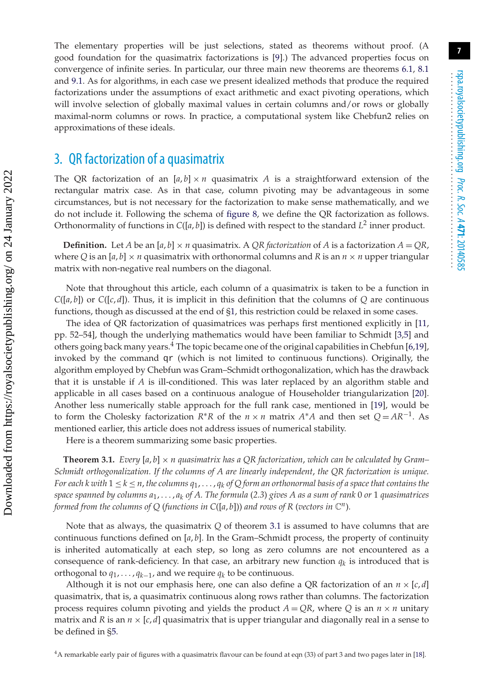The elementary properties will be just selections, stated as theorems without proof. (A good foundation for the quasimatrix factorizations is [\[9\]](#page-19-8).) The advanced properties focus on convergence of infinite series. In particular, our three main new theorems are theorems [6.1,](#page-6-0) [8.1](#page-6-0) and [9.1.](#page-6-0) As for algorithms, in each case we present idealized methods that produce the required factorizations under the assumptions of exact arithmetic and exact pivoting operations, which will involve selection of globally maximal values in certain columns and/or rows or globally maximal-norm columns or rows. In practice, a computational system like Chebfun2 relies on approximations of these ideals.

#### <span id="page-6-1"></span>3. QR factorization of a quasimatrix

 Downloaded from https://royalsocietypublishing.org/ on 24 January 2022 Downloaded from https://royalsocietypublishing.org/ on 24 January 2022

The QR factorization of an  $[a, b] \times n$  quasimatrix *A* is a straightforward extension of the rectangular matrix case. As in that case, column pivoting may be advantageous in some circumstances, but is not necessary for the factorization to make sense mathematically, and we do not include it. Following the schema of [figure 8,](#page-7-0) we define the QR factorization as follows. Orthonormality of functions in  $C([a, b])$  is defined with respect to the standard  $L^2$  inner product.

**Definition.** Let *A* be an  $[a, b] \times n$  quasimatrix. A *QR factorization* of *A* is a factorization  $A = QR$ , where *Q* is an  $[a, b] \times n$  quasimatrix with orthonormal columns and *R* is an  $n \times n$  upper triangular matrix with non-negative real numbers on the diagonal.

Note that throughout this article, each column of a quasimatrix is taken to be a function in *C*( $[a, b]$ ) or *C*( $[c, d]$ ). Thus, it is implicit in this definition that the columns of *Q* are continuous functions, though as discussed at the end of [§1,](#page-0-0) this restriction could be relaxed in some cases.

The idea of QR factorization of quasimatrices was perhaps first mentioned explicitly in [\[11,](#page-19-10) pp. 52–54], though the underlying mathematics would have been familiar to Schmidt [\[3](#page-19-2)[,5\]](#page-19-4) and others going back many years.<sup>4</sup> The topic became one of the original capabilities in Chebfun [\[6,](#page-19-5)[19\]](#page-20-1), invoked by the command qr (which is not limited to continuous functions). Originally, the algorithm employed by Chebfun was Gram–Schmidt orthogonalization, which has the drawback that it is unstable if *A* is ill-conditioned. This was later replaced by an algorithm stable and applicable in all cases based on a continuous analogue of Householder triangularization [\[20\]](#page-20-2). Another less numerically stable approach for the full rank case, mentioned in [\[19\]](#page-20-1), would be to form the Cholesky factorization  $R^*R$  of the  $n \times n$  matrix  $A^*A$  and then set  $Q = AR^{-1}$ . As mentioned earlier, this article does not address issues of numerical stability.

<span id="page-6-0"></span>Here is a theorem summarizing some basic properties.

**Theorem 3.1.** *Every* [ $a, b$ ]  $\times$  *n* quasimatrix has a QR factorization, which can be calculated by Gram– *Schmidt orthogonalization. If the columns of A are linearly independent*, *the QR factorization is unique. For each k with*  $1 \leq k \leq n$ , *the columns*  $q_1, \ldots, q_k$  *of Q form an orthonormal basis of a space that contains the space spanned by columns a*1, ... , *ak of A. The formula* (*2.3*) *gives A as a sum of rank* 0 *or* 1 *quasimatrices formed from the columns of Q (functions in*  $C([a, b])$ *) and rows of R (vectors in*  $\mathbb{C}^n$ ).

Note that as always, the quasimatrix *Q* of theorem [3.1](#page-6-0) is assumed to have columns that are continuous functions defined on [*a*, *b*]. In the Gram–Schmidt process, the property of continuity is inherited automatically at each step, so long as zero columns are not encountered as a consequence of rank-deficiency. In that case, an arbitrary new function  $q_k$  is introduced that is orthogonal to  $q_1, \ldots, q_{k-1}$ , and we require  $q_k$  to be continuous.

Although it is not our emphasis here, one can also define a QR factorization of an  $n \times [c, d]$ quasimatrix, that is, a quasimatrix continuous along rows rather than columns. The factorization process requires column pivoting and yields the product  $A = QR$ , where  $Q$  is an  $n \times n$  unitary matrix and *R* is an  $n \times [c, d]$  quasimatrix that is upper triangular and diagonally real in a sense to be defined in [§5.](#page-8-0)

<sup>4</sup>A remarkable early pair of figures with a quasimatrix flavour can be found at eqn (33) of part 3 and two pages later in [\[18\]](#page-20-3).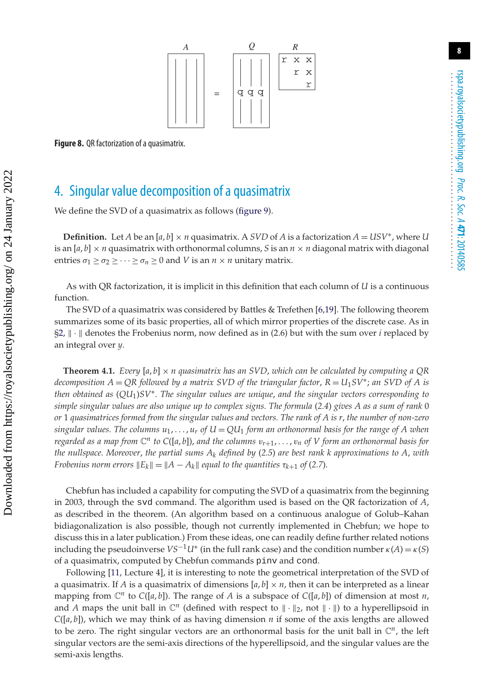

<span id="page-7-0"></span>**Figure 8.** QR factorization of a quasimatrix.

#### <span id="page-7-1"></span>4. Singular value decomposition of a quasimatrix

We define the SVD of a quasimatrix as follows [\(figure 9\)](#page-8-1).

**Definition.** Let *A* be an  $[a, b] \times n$  quasimatrix. A *SVD* of *A* is a factorization  $A = USV^*$ , where *U* is an  $[a, b] \times n$  quasimatrix with orthonormal columns, *S* is an  $n \times n$  diagonal matrix with diagonal entries  $\sigma_1 \geq \sigma_2 \geq \cdots \geq \sigma_n \geq 0$  and *V* is an  $n \times n$  unitary matrix.

As with QR factorization, it is implicit in this definition that each column of *U* is a continuous function.

The SVD of a quasimatrix was considered by Battles & Trefethen [\[6,](#page-19-5)[19\]](#page-20-1). The following theorem summarizes some of its basic properties, all of which mirror properties of the discrete case. As in [§2,](#page-2-2)  $\|\cdot\|$  denotes the Frobenius norm, now defined as in (2.6) but with the sum over *i* replaced by an integral over *y*.

**Theorem 4.1.** *Every*  $[a, b] \times n$  *quasimatrix has an SVD, which can be calculated by computing a QR decomposition*  $A = QR$  *followed by a matrix SVD of the triangular factor*,  $R = U_1 S V^*$ ; *an SVD of A is then obtained as* (*QU*1)*SV*∗*. The singular values are unique*, *and the singular vectors corresponding to simple singular values are also unique up to complex signs. The formula* (*2.4*) *gives A as a sum of rank* 0 *or* 1 *quasimatrices formed from the singular values and vectors. The rank of A is r*, *the number of non-zero singular values. The columns u*1, ... , *ur of U* = *QU*<sup>1</sup> *form an orthonormal basis for the range of A when regarded as a map from* C*<sup>n</sup> to C*([*a*, *b*]), *and the columns* v*r*+1, ... , v*<sup>n</sup> of V form an orthonormal basis for the nullspace. Moreover*, *the partial sums Ak defined by* (*2.5*) *are best rank k approximations to A*, *with Frobenius norm errors*  $||E_k|| = ||A - A_k||$  *equal to the quantities*  $\tau_{k+1}$  *of* (2.7)*.* 

Chebfun has included a capability for computing the SVD of a quasimatrix from the beginning in 2003, through the svd command. The algorithm used is based on the QR factorization of *A*, as described in the theorem. (An algorithm based on a continuous analogue of Golub–Kahan bidiagonalization is also possible, though not currently implemented in Chebfun; we hope to discuss this in a later publication.) From these ideas, one can readily define further related notions including the pseudoinverse  $VS^{-1}U^*$  (in the full rank case) and the condition number  $\kappa(A) = \kappa(S)$ of a quasimatrix, computed by Chebfun commands pinv and cond.

Following [\[11,](#page-19-10) Lecture 4], it is interesting to note the geometrical interpretation of the SVD of a quasimatrix. If *A* is a quasimatrix of dimensions  $[a, b] \times n$ , then it can be interpreted as a linear mapping from  $\mathbb{C}^n$  to  $C([a,b])$ . The range of *A* is a subspace of  $C([a,b])$  of dimension at most *n*, and *A* maps the unit ball in  $\mathbb{C}^n$  (defined with respect to  $\|\cdot\|_2$ , not  $\|\cdot\|$ ) to a hyperellipsoid in  $C([a, b])$ , which we may think of as having dimension *n* if some of the axis lengths are allowed to be zero. The right singular vectors are an orthonormal basis for the unit ball in  $\mathbb{C}^n$ , the left singular vectors are the semi-axis directions of the hyperellipsoid, and the singular values are the semi-axis lengths.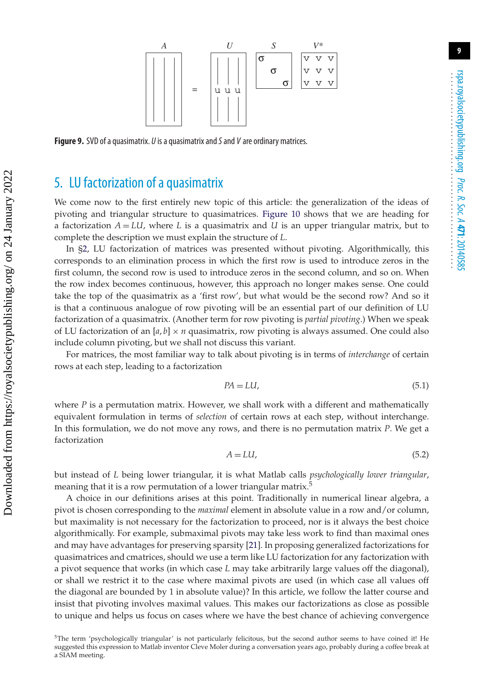

<span id="page-8-1"></span>**Figure 9.** SVD of a quasimatrix. *U* is a quasimatrix and*S*and *V* are ordinary matrices.

#### <span id="page-8-0"></span>5. LU factorization of a quasimatrix

We come now to the first entirely new topic of this article: the generalization of the ideas of pivoting and triangular structure to quasimatrices. [Figure 10](#page-9-0) shows that we are heading for a factorization  $A = LU$ , where L is a quasimatrix and U is an upper triangular matrix, but to complete the description we must explain the structure of *L*.

In [§2,](#page-2-2) LU factorization of matrices was presented without pivoting. Algorithmically, this corresponds to an elimination process in which the first row is used to introduce zeros in the first column, the second row is used to introduce zeros in the second column, and so on. When the row index becomes continuous, however, this approach no longer makes sense. One could take the top of the quasimatrix as a 'first row', but what would be the second row? And so it is that a continuous analogue of row pivoting will be an essential part of our definition of LU factorization of a quasimatrix. (Another term for row pivoting is *partial pivoting*.) When we speak of LU factorization of an  $[a, b] \times n$  quasimatrix, row pivoting is always assumed. One could also include column pivoting, but we shall not discuss this variant.

For matrices, the most familiar way to talk about pivoting is in terms of *interchange* of certain rows at each step, leading to a factorization

$$
PA = LU,\tag{5.1}
$$

where  $P$  is a permutation matrix. However, we shall work with a different and mathematically equivalent formulation in terms of *selection* of certain rows at each step, without interchange. In this formulation, we do not move any rows, and there is no permutation matrix *P*. We get a factorization

$$
A = LU,\tag{5.2}
$$

but instead of *L* being lower triangular, it is what Matlab calls *psychologically lower triangular*, meaning that it is a row permutation of a lower triangular matrix.<sup>5</sup>

A choice in our definitions arises at this point. Traditionally in numerical linear algebra, a pivot is chosen corresponding to the *maximal* element in absolute value in a row and/or column, but maximality is not necessary for the factorization to proceed, nor is it always the best choice algorithmically. For example, submaximal pivots may take less work to find than maximal ones and may have advantages for preserving sparsity [\[21\]](#page-20-4). In proposing generalized factorizations for quasimatrices and cmatrices, should we use a term like LU factorization for any factorization with a pivot sequence that works (in which case *L* may take arbitrarily large values off the diagonal), or shall we restrict it to the case where maximal pivots are used (in which case all values off the diagonal are bounded by 1 in absolute value)? In this article, we follow the latter course and insist that pivoting involves maximal values. This makes our factorizations as close as possible to unique and helps us focus on cases where we have the best chance of achieving convergence

<sup>&</sup>lt;sup>5</sup>The term 'psychologically triangular' is not particularly felicitous, but the second author seems to have coined it! He suggested this expression to Matlab inventor Cleve Moler during a conversation years ago, probably during a coffee break at a SIAM meeting.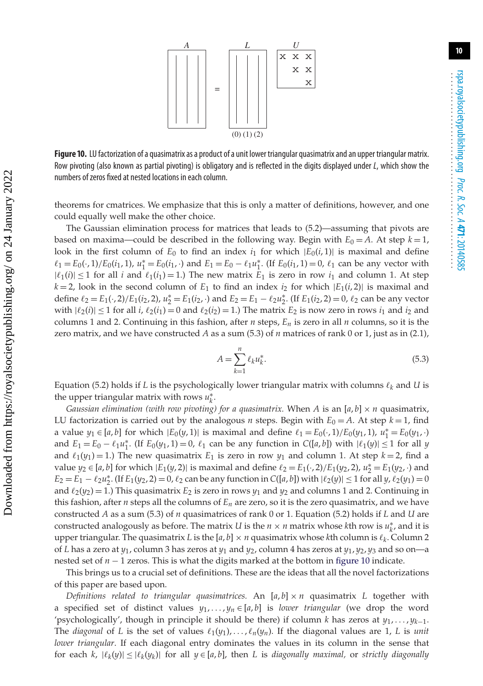

<span id="page-9-0"></span>**Figure 10.** LU factorization of a quasimatrix as a product of a unit lower triangular quasimatrix and an upper triangular matrix. Row pivoting (also known as partial pivoting) is obligatory and is reflected in the digits displayed under *L*, which show the numbers of zeros fixed at nested locations in each column.

theorems for cmatrices. We emphasize that this is only a matter of definitions, however, and one could equally well make the other choice.

The Gaussian elimination process for matrices that leads to (5.2)—assuming that pivots are based on maxima—could be described in the following way. Begin with  $E_0 = A$ . At step  $k = 1$ , look in the first column of  $E_0$  to find an index  $i_1$  for which  $|E_0(i, 1)|$  is maximal and define  $\ell_1 = E_0(\cdot, 1)/E_0(i_1, 1)$ ,  $u_1^* = E_0(i_1, \cdot)$  and  $E_1 = E_0 - \ell_1 u_1^*$ . (If  $E_0(i_1, 1) = 0$ ,  $\ell_1$  can be any vector with  $|\ell_1(i)| \leq 1$  for all *i* and  $\ell_1(i_1) = 1$ .) The new matrix  $E_1$  is zero in row  $i_1$  and column 1. At step  $k = 2$ , look in the second column of  $E_1$  to find an index  $i_2$  for which  $|E_1(i, 2)|$  is maximal and define  $\ell_2 = E_1(\cdot, 2)/E_1(i_2, 2)$ ,  $u_2^* = E_1(i_2, \cdot)$  and  $E_2 = E_1 - \ell_2 u_2^*$ . (If  $E_1(i_2, 2) = 0$ ,  $\ell_2$  can be any vector with  $|\ell_2(i)| \leq 1$  for all *i*,  $\ell_2(i_1) = 0$  and  $\ell_2(i_2) = 1$ .) The matrix  $E_2$  is now zero in rows  $i_1$  and  $i_2$  and columns 1 and 2. Continuing in this fashion, after *n* steps, *En* is zero in all *n* columns, so it is the zero matrix, and we have constructed *A* as a sum (5.3) of *n* matrices of rank 0 or 1, just as in (2.1),

$$
A = \sum_{k=1}^{n} \ell_k u_k^*.
$$
\n(5.3)

Equation (5.2) holds if  $L$  is the psychologically lower triangular matrix with columns  $\ell_k$  and  $U$  is the upper triangular matrix with rows  $u_k^*$ .

Downloaded from https://royalsocietypublishing.org/ on 24 January 2022

Downloaded from https://royalsocietypublishing.org/ on 24 January 2022

*Gaussian elimination (with row pivoting) for a quasimatrix. When A is an*  $[a, b] \times n$  *quasimatrix,* LU factorization is carried out by the analogous *n* steps. Begin with  $E_0 = A$ . At step  $k = 1$ , find a value  $y_1 \in [a, b]$  for which  $|E_0(y, 1)|$  is maximal and define  $\ell_1 = E_0(\cdot, 1)/E_0(y_1, 1)$ ,  $u_1^* = E_0(y_1, \cdot)$ and  $E_1 = E_0 - \ell_1 u_1^*$ . (If  $E_0(y_1, 1) = 0$ ,  $\ell_1$  can be any function in  $C([a, b])$  with  $|\ell_1(y)| \le 1$  for all *y* and  $\ell_1(y_1) = 1$ .) The new quasimatrix  $E_1$  is zero in row  $y_1$  and column 1. At step  $k = 2$ , find a *value y*<sub>2</sub> ∈ [*a*, *b*] for which |*E*<sub>1</sub>(*y*, 2)| is maximal and define  $\ell_2 = E_1(\cdot, 2)/E_1(y_2, 2)$ ,  $u_2^* = E_1(y_2, \cdot)$  and  $E_2 = E_1 - \ell_2 u_2^*$ . (If  $E_1(y_2, 2) = 0$ ,  $\ell_2$  can be any function in  $C([a, b])$  with  $|\ell_2(y)| \le 1$  for all  $y$ ,  $\ell_2(y_1) = 0$ and  $\ell_2(y_2) = 1$ .) This quasimatrix  $E_2$  is zero in rows  $y_1$  and  $y_2$  and columns 1 and 2. Continuing in this fashion, after *n* steps all the columns of  $E_n$  are zero, so it is the zero quasimatrix, and we have constructed *A* as a sum (5.3) of *n* quasimatrices of rank 0 or 1. Equation (5.2) holds if *L* and *U* are constructed analogously as before. The matrix *U* is the  $n \times n$  matrix whose *k*th row is  $u_k^*$ , and it is upper triangular. The quasimatrix *L* is the  $[a, b] \times n$  quasimatrix whose *k*th column is  $\ell_k$ . Column 2 of *L* has a zero at *y*1, column 3 has zeros at *y*<sup>1</sup> and *y*2, column 4 has zeros at *y*1, *y*2, *y*<sup>3</sup> and so on—a nested set of *n* − 1 zeros. This is what the digits marked at the bottom in [figure 10](#page-9-0) indicate.

This brings us to a crucial set of definitions. These are the ideas that all the novel factorizations of this paper are based upon.

*Definitions related to triangular quasimatrices. An*  $[a, b] \times n$  *quasimatrix <i>L* together with a specified set of distinct values  $y_1, \ldots, y_n \in [a, b]$  is *lower triangular* (we drop the word 'psychologically', though in principle it should be there) if column *k* has zeros at *y*1, ... , *yk*−1. The *diagonal* of *L* is the set of values  $\ell_1(y_1), \ldots, \ell_n(y_n)$ . If the diagonal values are 1, *L* is *unit lower triangular*. If each diagonal entry dominates the values in its column in the sense that  $f(x) = \frac{f(x, y)}{g(x)} \leq \frac{f(x, y)}{g(x)}$  for all  $y \in [a, b]$ , then *L* is *diagonally maximal*, or *strictly diagonally*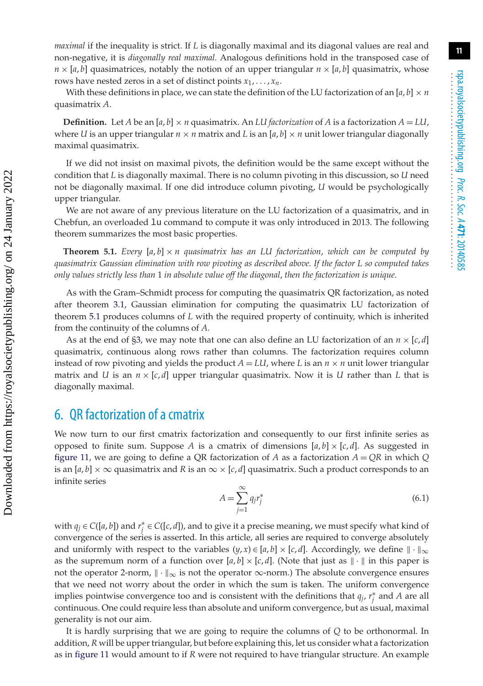*maximal* if the inequality is strict. If *L* is diagonally maximal and its diagonal values are real and non-negative, it is *diagonally real maximal.* Analogous definitions hold in the transposed case of  $n \times [a, b]$  quasimatrices, notably the notion of an upper triangular  $n \times [a, b]$  quasimatrix, whose rows have nested zeros in a set of distinct points *x*1, ... , *xn*.

With these definitions in place, we can state the definition of the LU factorization of an  $[a, b] \times n$ quasimatrix *A*.

**Definition.** Let *A* be an  $[a, b] \times n$  quasimatrix. An *LU factorization* of *A* is a factorization  $A = LU$ , where *U* is an upper triangular  $n \times n$  matrix and *L* is an [ $a, b$ ]  $\times n$  unit lower triangular diagonally maximal quasimatrix.

If we did not insist on maximal pivots, the definition would be the same except without the condition that *L* is diagonally maximal. There is no column pivoting in this discussion, so *U* need not be diagonally maximal. If one did introduce column pivoting, *U* would be psychologically upper triangular.

We are not aware of any previous literature on the LU factorization of a quasimatrix, and in Chebfun, an overloaded lu command to compute it was only introduced in 2013. The following theorem summarizes the most basic properties.

**Theorem 5.1.** *Every*  $[a, b] \times n$  *quasimatrix has an LU factorization, which can be computed by quasimatrix Gaussian elimination with row pivoting as described above. If the factor L so computed takes only values strictly less than* 1 *in absolute value off the diagonal*, *then the factorization is unique.*

As with the Gram–Schmidt process for computing the quasimatrix QR factorization, as noted after theorem [3.1,](#page-6-0) Gaussian elimination for computing the quasimatrix LU factorization of theorem [5.1](#page-6-0) produces columns of *L* with the required property of continuity, which is inherited from the continuity of the columns of *A*.

As at the end of [§3,](#page-6-1) we may note that one can also define an LU factorization of an  $n \times [c, d]$ quasimatrix, continuous along rows rather than columns. The factorization requires column instead of row pivoting and yields the product  $A = LU$ , where *L* is an  $n \times n$  unit lower triangular matrix and *U* is an  $n \times [c, d]$  upper triangular quasimatrix. Now it is *U* rather than *L* that is diagonally maximal.

### 6. QR factorization of a cmatrix

We now turn to our first cmatrix factorization and consequently to our first infinite series as opposed to finite sum. Suppose *A* is a cmatrix of dimensions  $[a, b] \times [c, d]$ . As suggested in [figure 11,](#page-11-0) we are going to define a QR factorization of *A* as a factorization  $A = QR$  in which *Q* is an  $[a, b] \times \infty$  quasimatrix and *R* is an  $\infty \times [c, d]$  quasimatrix. Such a product corresponds to an infinite series

$$
A = \sum_{j=1}^{\infty} q_j r_j^* \tag{6.1}
$$

with  $q_j \in C([a, b])$  and  $r_j^* \in C([c, d])$ , and to give it a precise meaning, we must specify what kind of convergence of the series is asserted. In this article, all series are required to converge absolutely and uniformly with respect to the variables  $(y, x) \in [a, b] \times [c, d]$ . Accordingly, we define  $|| \cdot ||_{\infty}$ as the supremum norm of a function over  $[a, b] \times [c, d]$ . (Note that just as  $\|\cdot\|$  in this paper is not the operator 2-norm,  $\|\cdot\|_{\infty}$  is not the operator  $\infty$ -norm.) The absolute convergence ensures that we need not worry about the order in which the sum is taken. The uniform convergence implies pointwise convergence too and is consistent with the definitions that  $q_j$ ,  $r_j^*$  and  $A$  are all continuous. One could require less than absolute and uniform convergence, but as usual, maximal generality is not our aim.

It is hardly surprising that we are going to require the columns of *Q* to be orthonormal. In addition, *R* will be upper triangular, but before explaining this, let us consider what a factorization as in [figure 11](#page-11-0) would amount to if *R* were not required to have triangular structure. An example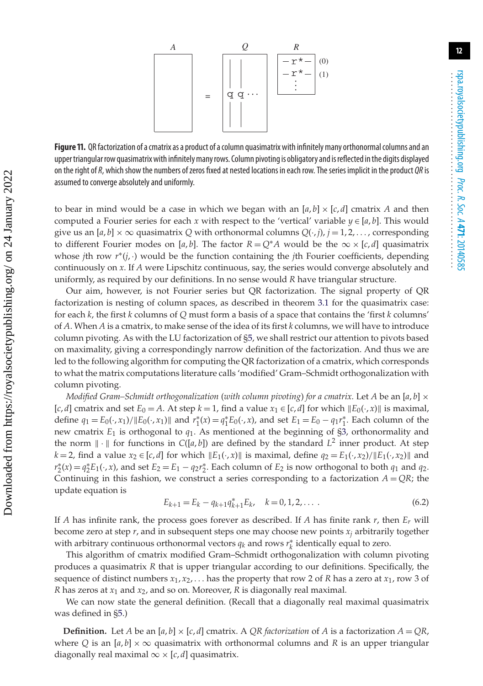

<span id="page-11-0"></span>**Figure 11.** QR factorization of a cmatrix as a product of a column quasimatrix with infinitely many orthonormal columns and an uppertriangularrow quasimatrix with infinitelymanyrows. Column pivoting is obligatory and isreflected inthe digits displayed on the right of*R*, which show the numbers of zeros fixed at nested locations in each row. The series implicit in the product *QR*is assumed to converge absolutely and uniformly.

to bear in mind would be a case in which we began with an  $[a, b] \times [c, d]$  cmatrix *A* and then computed a Fourier series for each *x* with respect to the 'vertical' variable  $y \in [a, b]$ . This would give us an  $[a, b] \times \infty$  quasimatrix Q with orthonormal columns  $Q(\cdot, j)$ ,  $j = 1, 2, \ldots$ , corresponding to different Fourier modes on [*a*, *b*]. The factor  $R = Q^*A$  would be the  $\infty \times [c, d]$  quasimatrix whose *j*th row *r*∗(*j*, ·) would be the function containing the *j*th Fourier coefficients, depending continuously on *x*. If *A* were Lipschitz continuous, say, the series would converge absolutely and uniformly, as required by our definitions. In no sense would *R* have triangular structure.

Our aim, however, is not Fourier series but QR factorization. The signal property of QR factorization is nesting of column spaces, as described in theorem [3.1](#page-6-0) for the quasimatrix case: for each *k*, the first *k* columns of *Q* must form a basis of a space that contains the 'first *k* columns' of *A*. When *A* is a cmatrix, to make sense of the idea of its first *k* columns, we will have to introduce column pivoting. As with the LU factorization of [§5,](#page-8-0) we shall restrict our attention to pivots based on maximality, giving a correspondingly narrow definition of the factorization. And thus we are led to the following algorithm for computing the QR factorization of a cmatrix, which corresponds to what the matrix computations literature calls 'modified' Gram–Schmidt orthogonalization with column pivoting.

*Modified Gram–Schmidt orthogonalization* (*with column pivoting*) *for a cmatrix.* Let *A* be an [*a*, *b*] × [*c*, *d*] cmatrix and set  $E_0 = A$ . At step  $k = 1$ , find a value  $x_1 \in [c, d]$  for which  $||E_0(\cdot, x)||$  is maximal, define  $q_1 = E_0(\cdot, x_1)/\|E_0(\cdot, x_1)\|$  and  $r_1^*(x) = q_1^*E_0(\cdot, x)$ , and set  $E_1 = E_0 - q_1 r_1^*$ . Each column of the new cmatrix *E*<sup>1</sup> is orthogonal to *q*1. As mentioned at the beginning of [§3,](#page-6-1) orthonormality and the norm  $\|\cdot\|$  for functions in  $C([a, b])$  are defined by the standard  $L^2$  inner product. At step *k* = 2, find a value  $x_2 \in [c, d]$  for which  $||E_1(\cdot, x)||$  is maximal, define  $q_2 = E_1(\cdot, x_2)/||E_1(\cdot, x_2)||$  and  $r_2^*(x) = q_2^* E_1(\cdot, x)$ , and set  $E_2 = E_1 - q_2 r_2^*$ . Each column of  $E_2$  is now orthogonal to both  $q_1$  and  $q_2$ . Continuing in this fashion, we construct a series corresponding to a factorization  $A = QR$ ; the update equation is

$$
E_{k+1} = E_k - q_{k+1}q_{k+1}^*E_k, \quad k = 0, 1, 2, \dots
$$
\n(6.2)

If *A* has infinite rank, the process goes forever as described. If *A* has finite rank *r*, then *Er* will become zero at step *r*, and in subsequent steps one may choose new points *xj* arbitrarily together with arbitrary continuous orthonormal vectors  $q_k$  and rows  $r_k^*$  identically equal to zero.

This algorithm of cmatrix modified Gram–Schmidt orthogonalization with column pivoting produces a quasimatrix *R* that is upper triangular according to our definitions. Specifically, the sequence of distinct numbers  $x_1, x_2, \ldots$  has the property that row 2 of *R* has a zero at  $x_1$ , row 3 of *R* has zeros at *x*<sup>1</sup> and *x*2, and so on. Moreover, *R* is diagonally real maximal.

We can now state the general definition. (Recall that a diagonally real maximal quasimatrix was defined in [§5.](#page-8-0))

**Definition.** Let *A* be an  $[a, b] \times [c, d]$  cmatrix. A *QR factorization* of *A* is a factorization  $A = QR$ , where *Q* is an  $[a, b] \times \infty$  quasimatrix with orthonormal columns and *R* is an upper triangular diagonally real maximal  $\infty \times [c, d]$  quasimatrix.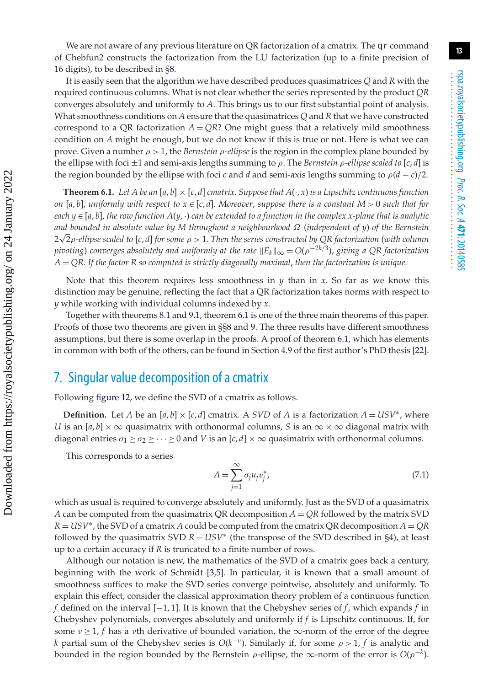We are not aware of any previous literature on QR factorization of a cmatrix. The qr command of Chebfun2 constructs the factorization from the LU factorization (up to a finite precision of 16 digits), to be described in [§8.](#page-13-0)

It is easily seen that the algorithm we have described produces quasimatrices *Q* and *R* with the required continuous columns. What is not clear whether the series represented by the product *QR* converges absolutely and uniformly to *A*. This brings us to our first substantial point of analysis. What smoothness conditions on *A* ensure that the quasimatrices *Q* and *R* that we have constructed correspond to a QR factorization  $A = QR$ ? One might guess that a relatively mild smoothness condition on *A* might be enough, but we do not know if this is true or not. Here is what we can prove. Given a number  $\rho > 1$ , the *Bernstein*  $\rho$ -ellipse is the region in the complex plane bounded by the ellipse with foci  $\pm 1$  and semi-axis lengths summing to  $\rho$ . The *Bernstein*  $\rho$ -ellipse scaled to [c, *d*] is the region bounded by the ellipse with foci *c* and *d* and semi-axis lengths summing to  $\rho(d - c)/2$ .

**Theorem 6.1.** Let A be an  $[a, b] \times [c, d]$  *cmatrix. Suppose that*  $A(\cdot, x)$  *is a Lipschitz continuous function on* [a, b], uniformly with respect to  $x \in [c, d]$ . Moreover, suppose there is a constant  $M > 0$  such that for *each*  $y \in [a, b]$ , *the row function*  $A(y, \cdot)$  *can be extended to a function in the complex x-plane that is analytic and bounded in absolute value by M throughout a neighbourhood* Ω (*independent of y*) *of the Bernstein* √ 2 2ρ*-ellipse scaled to* [*c*, *d*] *for some* ρ > 1*. Then the series constructed by QR factorization* (*with column pivoting*) *converges absolutely and uniformly at the rate*  $||E_k||_{∞ = O(\rho^{-2k/3})$ , *giving a QR factorization A* = *QR. If the factor R so computed is strictly diagonally maximal*, *then the factorization is unique.*

Note that this theorem requires less smoothness in  $y$  than in  $x$ . So far as we know this distinction may be genuine, reflecting the fact that a QR factorization takes norms with respect to *y* while working with individual columns indexed by *x*.

Together with theorems [8.1](#page-6-0) and [9.1,](#page-6-0) theorem [6.1](#page-6-0) is one of the three main theorems of this paper. Proofs of those two theorems are given in §[§8](#page-13-0) and [9.](#page-16-0) The three results have different smoothness assumptions, but there is some overlap in the proofs. A proof of theorem [6.1,](#page-6-0) which has elements in common with both of the others, can be found in Section 4.9 of the first author's PhD thesis [\[22\]](#page-20-5).

#### 7. Singular value decomposition of a cmatrix

Following [figure 12,](#page-13-1) we define the SVD of a cmatrix as follows.

**Definition.** Let *A* be an [ $a$ ,  $b$ ] × [ $c$ ,  $d$ ] cmatrix. A *SVD* of *A* is a factorization  $A = USV^*$ , where *U* is an  $[a, b] \times \infty$  quasimatrix with orthonormal columns, *S* is an  $\infty \times \infty$  diagonal matrix with diagonal entries  $\sigma_1 \geq \sigma_2 \geq \cdots \geq 0$  and *V* is an  $[c, d] \times \infty$  quasimatrix with orthonormal columns.

This corresponds to a series

$$
A = \sum_{j=1}^{\infty} \sigma_j u_j v_j^*,\tag{7.1}
$$

which as usual is required to converge absolutely and uniformly. Just as the SVD of a quasimatrix *A* can be computed from the quasimatrix QR decomposition  $A = QR$  followed by the matrix SVD  $R = USV^*$ , the SVD of a cmatrix *A* could be computed from the cmatrix QR decomposition  $A = QR$ followed by the quasimatrix SVD  $R = USV^*$  (the transpose of the SVD described in [§4\)](#page-7-1), at least up to a certain accuracy if *R* is truncated to a finite number of rows.

Although our notation is new, the mathematics of the SVD of a cmatrix goes back a century, beginning with the work of Schmidt [\[3,](#page-19-2)[5\]](#page-19-4). In particular, it is known that a small amount of smoothness suffices to make the SVD series converge pointwise, absolutely and uniformly. To explain this effect, consider the classical approximation theory problem of a continuous function *f* defined on the interval [−1, 1]. It is known that the Chebyshev series of *f*, which expands *f* in Chebyshev polynomials, converges absolutely and uniformly if *f* is Lipschitz continuous. If, for some  $v > 1$ , *f* has a *v*th derivative of bounded variation, the  $\infty$ -norm of the error of the degree *k* partial sum of the Chebyshev series is  $O(k^{-\nu})$ . Similarly if, for some  $\rho > 1$ , *f* is analytic and bounded in the region bounded by the Bernstein  $\rho$ -ellipse, the  $\infty$ -norm of the error is  $O(\rho^{-k})$ .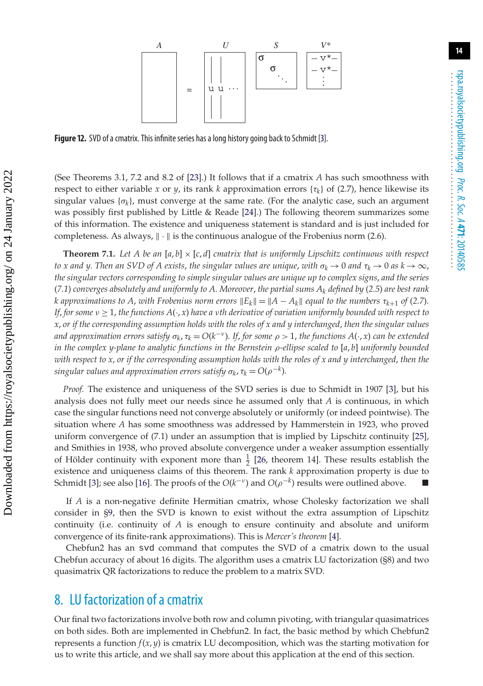

<span id="page-13-1"></span>**Figure 12.** SVD of a cmatrix. This infinite series has a long history going back to Schmidt [\[3\]](#page-19-2).

(See Theorems 3.1, 7.2 and 8.2 of [\[23\]](#page-20-6).) It follows that if a cmatrix *A* has such smoothness with respect to either variable *x* or *y*, its rank *k* approximation errors  $\{\tau_k\}$  of (2.7), hence likewise its singular values {σ*k*}, must converge at the same rate. (For the analytic case, such an argument was possibly first published by Little & Reade [\[24\]](#page-20-7).) The following theorem summarizes some of this information. The existence and uniqueness statement is standard and is just included for completeness. As always,  $\|\cdot\|$  is the continuous analogue of the Frobenius norm (2.6).

**Theorem 7.1.** Let A be an  $[a, b] \times [c, d]$  *cmatrix that is uniformly Lipschitz continuous with respect to x and y. Then an SVD of A exists, the singular values are unique, with*  $\sigma_k \to 0$  *and*  $\tau_k \to 0$  *as*  $k \to \infty$ , *the singular vectors corresponding to simple singular values are unique up to complex signs*, *and the series* (*7.1*) *converges absolutely and uniformly to A. Moreover*, *the partial sums Ak defined by* (*2.5*) *are best rank k* approximations to A, with Frobenius norm errors  $||E_k|| = ||A - A_k||$  equal to the numbers  $\tau_{k+1}$  of (2.7). *If, for some*  $v \geq 1$ *, the functions A(., x) have a vth derivative of variation uniformly bounded with respect to x*, *or if the corresponding assumption holds with the roles of x and y interchanged*, *then the singular values and approximation errors satisfy*  $\sigma_k$ ,  $\tau_k = O(k^{-\nu})$ *. If, for some*  $\rho > 1$ *, the functions A(·, x) can be extended in the complex y-plane to analytic functions in the Bernstein* ρ*-ellipse scaled to* [*a*, *b*] *uniformly bounded with respect to x*, *or if the corresponding assumption holds with the roles of x and y interchanged*, *then the singular values and approximation errors satisfy*  $\sigma_k$ ,  $\tau_k = O(\rho^{-k})$ *.* 

*Proof.* The existence and uniqueness of the SVD series is due to Schmidt in 1907 [\[3\]](#page-19-2), but his analysis does not fully meet our needs since he assumed only that *A* is continuous, in which case the singular functions need not converge absolutely or uniformly (or indeed pointwise). The situation where *A* has some smoothness was addressed by Hammerstein in 1923, who proved uniform convergence of (7.1) under an assumption that is implied by Lipschitz continuity [\[25\]](#page-20-8), and Smithies in 1938, who proved absolute convergence under a weaker assumption essentially of Hölder continuity with exponent more than  $\frac{1}{2}$  [\[26,](#page-20-9) theorem 14]. These results establish the existence and uniqueness claims of this theorem. The rank *k* approximation property is due to Schmidt [\[3\]](#page-19-2); see also [\[16\]](#page-19-15). The proofs of the  $O(k^{-\nu})$  and  $O(\rho^{-k})$  results were outlined above.

If *A* is a non-negative definite Hermitian cmatrix, whose Cholesky factorization we shall consider in [§9,](#page-16-0) then the SVD is known to exist without the extra assumption of Lipschitz continuity (i.e. continuity of *A* is enough to ensure continuity and absolute and uniform convergence of its finite-rank approximations). This is *Mercer's theorem* [\[4\]](#page-19-3).

Chebfun2 has an svd command that computes the SVD of a cmatrix down to the usual Chebfun accuracy of about 16 digits. The algorithm uses a cmatrix LU factorization (§8) and two quasimatrix QR factorizations to reduce the problem to a matrix SVD.

#### <span id="page-13-0"></span>8. LU factorization of a cmatrix

Our final two factorizations involve both row and column pivoting, with triangular quasimatrices on both sides. Both are implemented in Chebfun2. In fact, the basic method by which Chebfun2 represents a function  $f(x, y)$  is cmatrix LU decomposition, which was the starting motivation for us to write this article, and we shall say more about this application at the end of this section.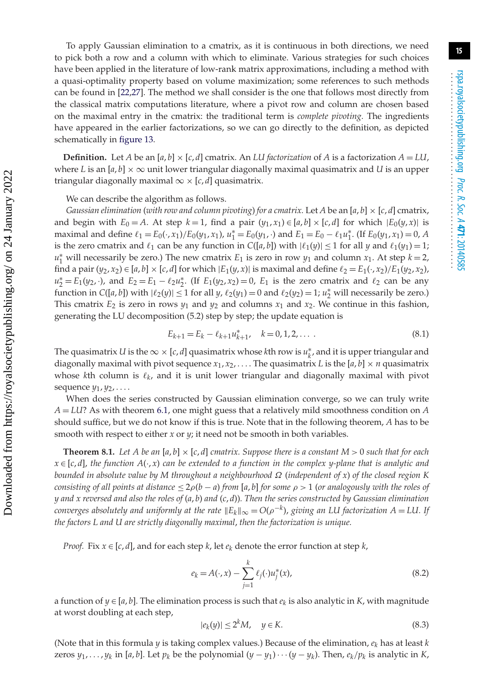To apply Gaussian elimination to a cmatrix, as it is continuous in both directions, we need to pick both a row and a column with which to eliminate. Various strategies for such choices have been applied in the literature of low-rank matrix approximations, including a method with a quasi-optimality property based on volume maximization; some references to such methods can be found in [\[22](#page-20-5)[,27\]](#page-20-10). The method we shall consider is the one that follows most directly from the classical matrix computations literature, where a pivot row and column are chosen based on the maximal entry in the cmatrix: the traditional term is *complete pivoting.* The ingredients have appeared in the earlier factorizations, so we can go directly to the definition, as depicted schematically in [figure 13.](#page-15-0)

**Definition.** Let *A* be an  $[a, b] \times [c, d]$  cmatrix. An *LU factorization* of *A* is a factorization  $A = LU$ , where *L* is an  $[a, b] \times \infty$  unit lower triangular diagonally maximal quasimatrix and *U* is an upper triangular diagonally maximal  $\infty \times [c, d]$  quasimatrix.

#### We can describe the algorithm as follows.

*Gaussian elimination* (*with row and column pivoting*) *for a cmatrix*. Let *A* be an  $[a, b] \times [c, d]$  cmatrix, and begin with  $E_0 = A$ . At step  $k = 1$ , find a pair  $(y_1, x_1) \in [a, b] \times [c, d]$  for which  $|E_0(y, x)|$  is maximal and define  $\ell_1 = E_0(\cdot, x_1)/E_0(y_1, x_1)$ ,  $u_1^* = E_0(y_1, \cdot)$  and  $E_1 = E_0 - \ell_1 u_1^*$ . (If  $E_0(y_1, x_1) = 0$ , *A* is the zero cmatrix and  $\ell_1$  can be any function in *C*([*a*, *b*]) with  $|\ell_1(y)| \le 1$  for all *y* and  $\ell_1(y_1) = 1$ ;  $u_1^*$  will necessarily be zero.) The new cmatrix  $E_1$  is zero in row  $y_1$  and column  $x_1$ . At step  $k = 2$ , find a pair  $(y_2, x_2) \in [a, b] \times [c, d]$  for which  $|E_1(y, x)|$  is maximal and define  $\ell_2 = E_1(\cdot, x_2)/E_1(y_2, x_2)$ ,  $u_2^* = E_1(y_2, \cdot)$ , and  $E_2 = E_1 - \ell_2 u_2^*$ . (If  $E_1(y_2, x_2) = 0$ ,  $E_1$  is the zero cmatrix and  $\ell_2$  can be any function in *C*([*a*, *b*]) with  $|\ell_2(y)| \le 1$  for all *y*,  $\ell_2(y_1) = 0$  and  $\ell_2(y_2) = 1$ ;  $u_2^*$  will necessarily be zero.) This cmatrix  $E_2$  is zero in rows  $y_1$  and  $y_2$  and columns  $x_1$  and  $x_2$ . We continue in this fashion, generating the LU decomposition (5.2) step by step; the update equation is

$$
E_{k+1} = E_k - \ell_{k+1} u_{k+1}^*, \quad k = 0, 1, 2, \dots
$$
\n(8.1)

The quasimatrix *U* is the  $\infty \times [c, d]$  quasimatrix whose *k*th row is  $u_k^*$ , and it is upper triangular and diagonally maximal with pivot sequence  $x_1, x_2, \ldots$ . The quasimatrix *L* is the [*a*, *b*]  $\times$  *n* quasimatrix whose  $k$ th column is  $\ell_k$ , and it is unit lower triangular and diagonally maximal with pivot sequence *y*1, *y*2, ... .

When does the series constructed by Gaussian elimination converge, so we can truly write *A* = *LU*? As with theorem [6.1,](#page-6-0) one might guess that a relatively mild smoothness condition on *A* should suffice, but we do not know if this is true. Note that in the following theorem, *A* has to be smooth with respect to either *x* or *y*; it need not be smooth in both variables.

**Theorem 8.1.** Let A be an  $[a, b] \times [c, d]$  *cmatrix. Suppose there is a constant*  $M > 0$  *such that for each*  $x \in [c, d]$ , the function  $A(\cdot, x)$  can be extended to a function in the complex y-plane that is analytic and *bounded in absolute value by M throughout a neighbourhood* Ω (*independent of x*) *of the closed region K consisting of all points at distance*  $\leq 2\rho(b-a)$  *from* [a, b] *for some*  $\rho > 1$  (*or analogously with the roles of y and x reversed and also the roles of* (*a*, *b*) *and* (*c*, *d*))*. Then the series constructed by Gaussian elimination converges absolutely and uniformly at the rate*  $\|E_k\|_{\infty} = O(\rho^{-k})$ , *giving an LU factorization*  $A = LU$ . If *the factors L and U are strictly diagonally maximal*, *then the factorization is unique.*

*Proof.* Fix  $x \in [c, d]$ , and for each step  $k$ , let  $e_k$  denote the error function at step  $k$ ,

$$
e_k = A(\cdot, x) - \sum_{j=1}^k \ell_j(\cdot) u_j^*(x),
$$
\n(8.2)

a function of  $y \in [a, b]$ . The elimination process is such that  $e_k$  is also analytic in  $K$ , with magnitude at worst doubling at each step,

$$
|e_k(y)| \le 2^k M, \quad y \in K. \tag{8.3}
$$

(Note that in this formula  $y$  is taking complex values.) Because of the elimination,  $e_k$  has at least  $k$ zeros *y*<sub>1</sub>, ..., *y*<sub>k</sub> in [*a*, *b*]. Let  $p_k$  be the polynomial  $(y - y_1) \cdots (y - y_k)$ . Then,  $e_k/p_k$  is analytic in *K*,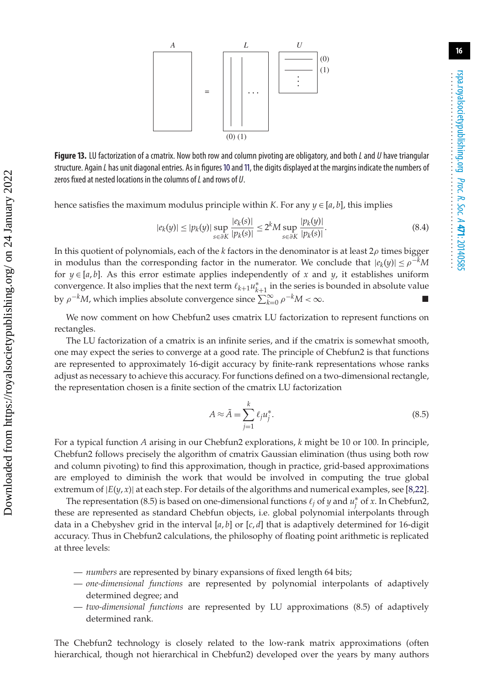

<span id="page-15-0"></span>**Figure 13.** LU factorization of a cmatrix. Now both row and column pivoting are obligatory, and both *L*and *U* have triangular structure. Again *L* has unit diagonal entries. As in figures [10](#page-9-0) and [11,](#page-11-0) the digits displayed at the margins indicate the numbers of zeros fixed at nested locations in the columns of*L*and rows of *U*.

hence satisfies the maximum modulus principle within *K*. For any  $y \in [a, b]$ , this implies

$$
|e_k(y)| \le |p_k(y)| \sup_{s \in \partial K} \frac{|e_k(s)|}{|p_k(s)|} \le 2^k M \sup_{s \in \partial K} \frac{|p_k(y)|}{|p_k(s)|}.
$$
 (8.4)

In this quotient of polynomials, each of the  $k$  factors in the denominator is at least  $2\rho$  times bigger in modulus than the corresponding factor in the numerator. We conclude that  $|e_k(y)| \le \rho^{-k}M$ for  $y \in [a, b]$ . As this error estimate applies independently of *x* and *y*, it establishes uniform convergence. It also implies that the next term  $\ell_{k+1} u_{k+1}^*$  in the series is bounded in absolute value by  $\rho^{-k}M$ , which implies absolute convergence since  $\sum_{k=0}^{\infty} \rho^{-k}M < \infty$ .

We now comment on how Chebfun2 uses cmatrix LU factorization to represent functions on rectangles.

The LU factorization of a cmatrix is an infinite series, and if the cmatrix is somewhat smooth, one may expect the series to converge at a good rate. The principle of Chebfun2 is that functions are represented to approximately 16-digit accuracy by finite-rank representations whose ranks adjust as necessary to achieve this accuracy. For functions defined on a two-dimensional rectangle, the representation chosen is a finite section of the cmatrix LU factorization

$$
A \approx \tilde{A} = \sum_{j=1}^{k} \ell_j u_j^*.
$$
\n(8.5)

For a typical function *A* arising in our Chebfun2 explorations, *k* might be 10 or 100. In principle, Chebfun2 follows precisely the algorithm of cmatrix Gaussian elimination (thus using both row and column pivoting) to find this approximation, though in practice, grid-based approximations are employed to diminish the work that would be involved in computing the true global extremum of  $|E(y, x)|$  at each step. For details of the algorithms and numerical examples, see [\[8,](#page-19-6)[22\]](#page-20-5).

The representation (8.5) is based on one-dimensional functions  $\ell_j$  of *y* and  $u_j^*$  of *x*. In Chebfun2, these are represented as standard Chebfun objects, i.e. global polynomial interpolants through data in a Chebyshev grid in the interval  $[a, b]$  or  $[c, d]$  that is adaptively determined for 16-digit accuracy. Thus in Chebfun2 calculations, the philosophy of floating point arithmetic is replicated at three levels:

- *numbers* are represented by binary expansions of fixed length 64 bits;
- *one-dimensional functions* are represented by polynomial interpolants of adaptively determined degree; and
- *two-dimensional functions* are represented by LU approximations (8.5) of adaptively determined rank.

The Chebfun2 technology is closely related to the low-rank matrix approximations (often hierarchical, though not hierarchical in Chebfun2) developed over the years by many authors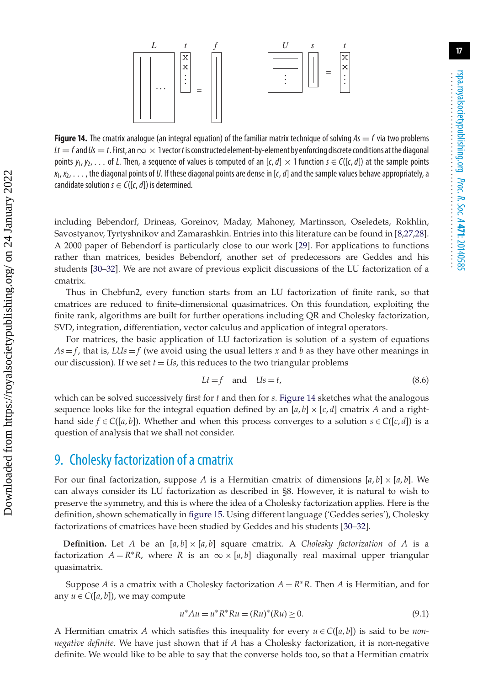

<span id="page-16-1"></span>**Figure 14.** The cmatrix analogue (an integral equation) of the familiar matrix technique of solving  $As = f$  via two problems  $lt = f$  and  $Us = t$ . First, an  $\infty \times 1$  vector t is constructed element-by-element by enforcing discrete conditions at the diagonal points  $y_1, y_2, \ldots$  of *L*. Then, a sequence of values is computed of an [*c*, *d*]  $\times$  1 function  $s \in C([c, d])$  at the sample points *x*1, *x*2, ... , the diagonal points of *U*. If these diagonal points are dense in [*c*,*d*] and the sample values behave appropriately, a candidate solution  $s \in C([c, d])$  is determined.

including Bebendorf, Drineas, Goreinov, Maday, Mahoney, Martinsson, Oseledets, Rokhlin, Savostyanov, Tyrtyshnikov and Zamarashkin. Entries into this literature can be found in [\[8,](#page-19-6)[27,](#page-20-10)[28\]](#page-20-11). A 2000 paper of Bebendorf is particularly close to our work [\[29\]](#page-20-12). For applications to functions rather than matrices, besides Bebendorf, another set of predecessors are Geddes and his students [\[30](#page-20-13)[–32\]](#page-20-14). We are not aware of previous explicit discussions of the LU factorization of a cmatrix.

Thus in Chebfun2, every function starts from an LU factorization of finite rank, so that cmatrices are reduced to finite-dimensional quasimatrices. On this foundation, exploiting the finite rank, algorithms are built for further operations including QR and Cholesky factorization, SVD, integration, differentiation, vector calculus and application of integral operators.

For matrices, the basic application of LU factorization is solution of a system of equations  $As = f$ , that is,  $LUs = f$  (we avoid using the usual letters *x* and *b* as they have other meanings in our discussion). If we set  $t = Us$ , this reduces to the two triangular problems

$$
Lt = f \quad \text{and} \quad Us = t,\tag{8.6}
$$

which can be solved successively first for *t* and then for *s*. [Figure 14](#page-16-1) sketches what the analogous sequence looks like for the integral equation defined by an  $[a, b] \times [c, d]$  cmatrix *A* and a righthand side  $f \in C([a, b])$ . Whether and when this process converges to a solution  $s \in C([c, d])$  is a question of analysis that we shall not consider.

#### <span id="page-16-0"></span>9. Cholesky factorization of a cmatrix

For our final factorization, suppose *A* is a Hermitian cmatrix of dimensions  $[a, b] \times [a, b]$ . We can always consider its LU factorization as described in §8. However, it is natural to wish to preserve the symmetry, and this is where the idea of a Cholesky factorization applies. Here is the definition, shown schematically in [figure 15.](#page-17-0) Using different language ('Geddes series'), Cholesky factorizations of cmatrices have been studied by Geddes and his students [\[30–](#page-20-13)[32\]](#page-20-14).

**Definition.** Let *A* be an  $[a, b] \times [a, b]$  square cmatrix. A *Cholesky factorization* of *A* is a factorization  $A = R^*R$ , where R is an  $\infty \times [a, b]$  diagonally real maximal upper triangular quasimatrix.

Suppose *A* is a cmatrix with a Cholesky factorization  $A = R^*R$ . Then *A* is Hermitian, and for any  $u \in C([a, b])$ , we may compute

$$
u^*Au = u^*R^*Ru = (Ru)^*(Ru) \ge 0.
$$
\n(9.1)

A Hermitian cmatrix *A* which satisfies this inequality for every  $u \in C([a, b])$  is said to be *nonnegative definite.* We have just shown that if *A* has a Cholesky factorization, it is non-negative definite. We would like to be able to say that the converse holds too, so that a Hermitian cmatrix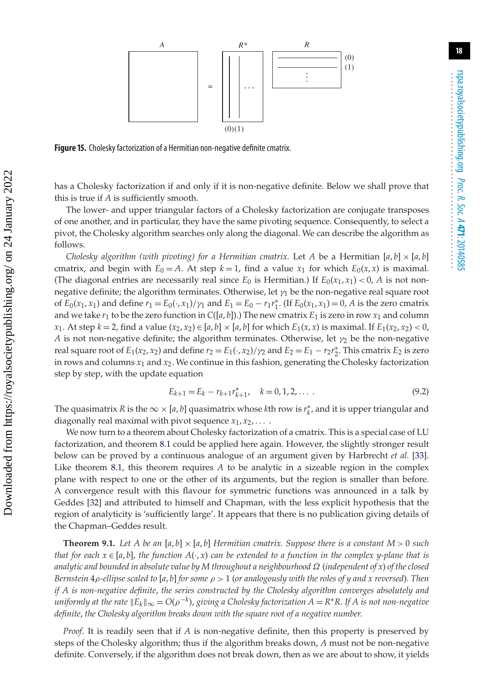

<span id="page-17-0"></span>**Figure 15.** Cholesky factorization of a Hermitian non-negative definite cmatrix.

Downloaded from https://royalsocietypublishing.org/ on 24 January 2022

Downloaded from https://royalsocietypublishing.org/ on 24 January 2022

has a Cholesky factorization if and only if it is non-negative definite. Below we shall prove that this is true if *A* is sufficiently smooth.

The lower- and upper triangular factors of a Cholesky factorization are conjugate transposes of one another, and in particular, they have the same pivoting sequence. Consequently, to select a pivot, the Cholesky algorithm searches only along the diagonal. We can describe the algorithm as follows.

*Cholesky algorithm (with pivoting) for a Hermitian cmatrix. Let <i>A* be a Hermitian  $[a, b] \times [a, b]$ cmatrix, and begin with  $E_0 = A$ . At step  $k = 1$ , find a value  $x_1$  for which  $E_0(x, x)$  is maximal. (The diagonal entries are necessarily real since  $E_0$  is Hermitian.) If  $E_0(x_1, x_1) < 0$ , *A* is not nonnegative definite; the algorithm terminates. Otherwise, let  $y_1$  be the non-negative real square root of  $E_0(x_1, x_1)$  and define  $r_1 = E_0(\cdot, x_1)/\gamma_1$  and  $E_1 = E_0 - r_1 r_1^*$ . (If  $E_0(x_1, x_1) = 0$ , *A* is the zero cmatrix and we take  $r_1$  to be the zero function in  $C([a, b])$ .) The new cmatrix  $E_1$  is zero in row  $x_1$  and column *x*<sub>1</sub>. At step *k* = 2, find a value  $(x_2, x_2)$  ∈ [*a*, *b*]  $\times$  [*a*, *b*] for which  $E_1(x, x)$  is maximal. If  $E_1(x_2, x_2)$  < 0, *A* is not non-negative definite; the algorithm terminates. Otherwise, let  $\gamma_2$  be the non-negative real square root of  $E_1(x_2, x_2)$  and define  $r_2 = E_1(\cdot, x_2)/\gamma_2$  and  $E_2 = E_1 - r_2r_2^*$ . This cmatrix  $E_2$  is zero in rows and columns *x*<sup>1</sup> and *x*2. We continue in this fashion, generating the Cholesky factorization step by step, with the update equation

$$
E_{k+1} = E_k - r_{k+1}r_{k+1}^*, \quad k = 0, 1, 2, \dots
$$
\n(9.2)

The quasimatrix *R* is the  $\infty \times [a, b]$  quasimatrix whose *k*th row is  $r_k^*$ , and it is upper triangular and diagonally real maximal with pivot sequence  $x_1, x_2, \ldots$ .

We now turn to a theorem about Cholesky factorization of a cmatrix. This is a special case of LU factorization, and theorem [8.1](#page-6-0) could be applied here again. However, the slightly stronger result below can be proved by a continuous analogue of an argument given by Harbrecht *et al.* [\[33\]](#page-20-15). Like theorem [8.1,](#page-6-0) this theorem requires *A* to be analytic in a sizeable region in the complex plane with respect to one or the other of its arguments, but the region is smaller than before. A convergence result with this flavour for symmetric functions was announced in a talk by Geddes [\[32\]](#page-20-14) and attributed to himself and Chapman, with the less explicit hypothesis that the region of analyticity is 'sufficiently large'. It appears that there is no publication giving details of the Chapman–Geddes result.

**Theorem 9.1.** Let A be an [a, b]  $\times$  [a, b] *Hermitian cmatrix. Suppose there is a constant M*  $> 0$  *such that for each*  $x \in [a, b]$ *, the function*  $A(\cdot, x)$  *can be extended to a function in the complex y-plane that is analytic and bounded in absolute value by M throughout a neighbourhood* Ω (*independent of x*) *of the closed Bernstein* 4ρ*-ellipse scaled to* [*a*, *b*] *for some* ρ > 1 (*or analogously with the roles of y and x reversed*)*. Then if A is non-negative definite*, *the series constructed by the Cholesky algorithm converges absolutely and uniformly at the rate*  $||E_k||_{\infty} = O(\rho^{-k})$ , *giving a Cholesky factorization*  $A = R^*R$ . If A is not non-negative *definite*, *the Cholesky algorithm breaks down with the square root of a negative number.*

*Proof.* It is readily seen that if *A* is non-negative definite, then this property is preserved by steps of the Cholesky algorithm; thus if the algorithm breaks down, *A* must not be non-negative definite. Conversely, if the algorithm does not break down, then as we are about to show, it yields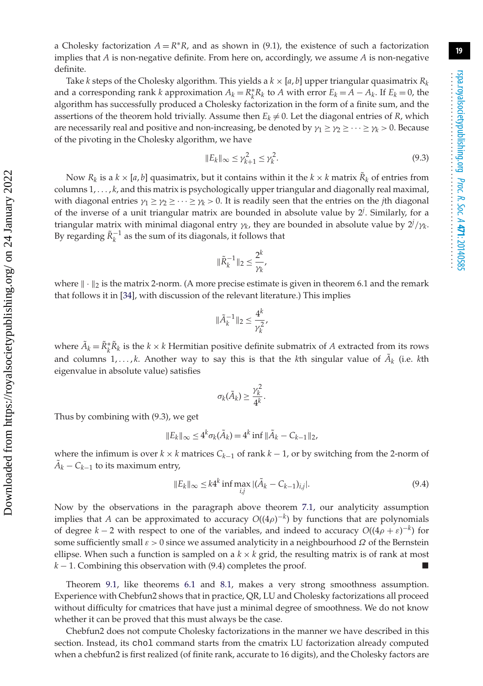a Cholesky factorization  $A = R^*R$ , and as shown in (9.1), the existence of such a factorization implies that *A* is non-negative definite. From here on, accordingly, we assume *A* is non-negative definite.

Take *k* steps of the Cholesky algorithm. This yields a  $k \times [a, b]$  upper triangular quasimatrix  $R_k$ and a corresponding rank *k* approximation  $A_k = R_k^* R_k$  to *A* with error  $E_k = A - A_k$ . If  $E_k = 0$ , the algorithm has successfully produced a Cholesky factorization in the form of a finite sum, and the assertions of the theorem hold trivially. Assume then  $E_k \neq 0$ . Let the diagonal entries of *R*, which are necessarily real and positive and non-increasing, be denoted by  $\gamma_1 \ge \gamma_2 \ge \cdots \ge \gamma_k > 0$ . Because of the pivoting in the Cholesky algorithm, we have

$$
||E_k||_{\infty} \le \gamma_{k+1}^2 \le \gamma_k^2. \tag{9.3}
$$

Now  $R_k$  is a  $k \times [a, b]$  quasimatrix, but it contains within it the  $k \times k$  matrix  $\tilde{R}_k$  of entries from columns 1, ... , *k*, and this matrix is psychologically upper triangular and diagonally real maximal, with diagonal entries  $\gamma_1 \geq \gamma_2 \geq \cdots \geq \gamma_k > 0$ . It is readily seen that the entries on the *j*th diagonal of the inverse of a unit triangular matrix are bounded in absolute value by 2*<sup>j</sup>* . Similarly, for a triangular matrix with minimal diagonal entry γ*k*, they are bounded in absolute value by 2*<sup>j</sup>* /γ*k*. By regarding  $\tilde{R}_k^{-1}$  as the sum of its diagonals, it follows that

$$
\|\tilde{R}_k^{-1}\|_2 \le \frac{2^k}{\gamma_k},
$$

where  $\|\cdot\|_2$  is the matrix 2-norm. (A more precise estimate is given in theorem 6.1 and the remark that follows it in [\[34\]](#page-20-16), with discussion of the relevant literature.) This implies

$$
\|\tilde{A}_k^{-1}\|_2 \le \frac{4^k}{\gamma_k^2},
$$

where  $\tilde{A}_k = \tilde{R}_k^* \tilde{R}_k$  is the  $k \times k$  Hermitian positive definite submatrix of *A* extracted from its rows and columns 1, ..., *k*. Another way to say this is that the *k*th singular value of  $\tilde{A}_k$  (i.e. *k*th eigenvalue in absolute value) satisfies

$$
\sigma_k(\tilde{A}_k) \geq \frac{\gamma_k^2}{4^k}.
$$

Thus by combining with (9.3), we get

$$
||E_k||_{\infty} \leq 4^k \sigma_k(\tilde{A}_k) = 4^k \inf ||\tilde{A}_k - C_{k-1}||_2,
$$

where the infimum is over  $k \times k$  matrices  $C_{k-1}$  of rank  $k-1$ , or by switching from the 2-norm of  $\tilde{A}_k - C_{k-1}$  to its maximum entry,

$$
||E_k||_{\infty} \le k4^k \inf \max_{i,j} |(\tilde{A}_k - C_{k-1})_{i,j}|. \tag{9.4}
$$

Now by the observations in the paragraph above theorem [7.1,](#page-6-0) our analyticity assumption implies that *A* can be approximated to accuracy  $O((4\rho)^{-k})$  by functions that are polynomials of degree  $k - 2$  with respect to one of the variables, and indeed to accuracy  $O((4\rho + \varepsilon)^{-k})$  for some sufficiently small  $\varepsilon > 0$  since we assumed analyticity in a neighbourhood  $\Omega$  of the Bernstein ellipse. When such a function is sampled on a  $k \times k$  grid, the resulting matrix is of rank at most  $k-1$ . Combining this observation with (9.4) completes the proof.

Theorem [9.1,](#page-6-0) like theorems [6.1](#page-6-0) and [8.1,](#page-6-0) makes a very strong smoothness assumption. Experience with Chebfun2 shows that in practice, QR, LU and Cholesky factorizations all proceed without difficulty for cmatrices that have just a minimal degree of smoothness. We do not know whether it can be proved that this must always be the case.

Chebfun2 does not compute Cholesky factorizations in the manner we have described in this section. Instead, its chol command starts from the cmatrix LU factorization already computed when a chebfun2 is first realized (of finite rank, accurate to 16 digits), and the Cholesky factors are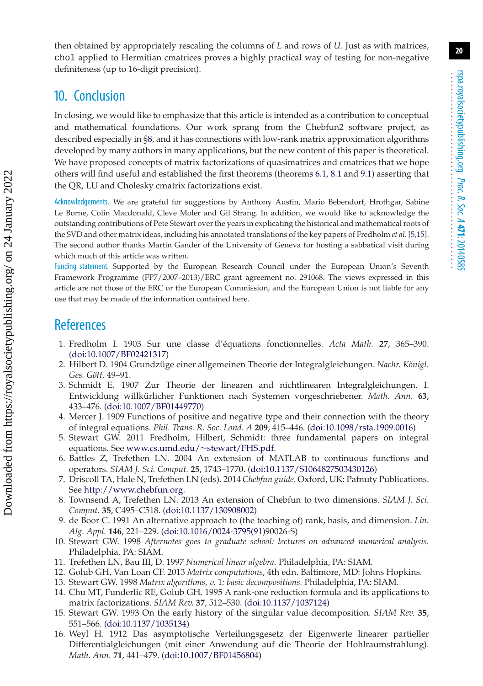then obtained by appropriately rescaling the columns of *L* and rows of *U*. Just as with matrices, chol applied to Hermitian cmatrices proves a highly practical way of testing for non-negative definiteness (up to 16-digit precision).

#### 10. Conclusion

In closing, we would like to emphasize that this article is intended as a contribution to conceptual and mathematical foundations. Our work sprang from the Chebfun2 software project, as described especially in [§8,](#page-13-0) and it has connections with low-rank matrix approximation algorithms developed by many authors in many applications, but the new content of this paper is theoretical. We have proposed concepts of matrix factorizations of quasimatrices and cmatrices that we hope others will find useful and established the first theorems (theorems [6.1,](#page-6-0) [8.1](#page-6-0) and [9.1\)](#page-6-0) asserting that the QR, LU and Cholesky cmatrix factorizations exist.

Acknowledgements. We are grateful for suggestions by Anthony Austin, Mario Bebendorf, Hrothgar, Sabine Le Borne, Colin Macdonald, Cleve Moler and Gil Strang. In addition, we would like to acknowledge the outstanding contributions of Pete Stewart over the years in explicating the historical and mathematical roots of the SVD and other matrix ideas, including his annotated translations of the key papers of Fredholm *et al.* [\[5,](#page-19-4)[15\]](#page-19-14). The second author thanks Martin Gander of the University of Geneva for hosting a sabbatical visit during which much of this article was written.

Funding statement. Supported by the European Research Council under the European Union's Seventh Framework Programme (FP7/2007–2013)/ERC grant agreement no. 291068. The views expressed in this article are not those of the ERC or the European Commission, and the European Union is not liable for any use that may be made of the information contained here.

#### <span id="page-19-0"></span>**References**

- 1. Fredholm I. 1903 Sur une classe d'équations fonctionnelles. *Acta Math.* **27**, 365–390. [\(doi:10.1007/BF02421317\)](http://dx.doi.org/doi:10.1007/BF02421317)
- <span id="page-19-2"></span><span id="page-19-1"></span>2. Hilbert D. 1904 Grundzüge einer allgemeinen Theorie der Integralgleichungen. *Nachr. Königl. Ges. Gött.* 49–91.
- 3. Schmidt E. 1907 Zur Theorie der linearen and nichtlinearen Integralgleichungen. I. Entwicklung willkürlicher Funktionen nach Systemen vorgeschriebener. *Math. Ann.* **63**, 433–476. [\(doi:10.1007/BF01449770\)](http://dx.doi.org/doi:10.1007/BF01449770)
- <span id="page-19-3"></span>4. Mercer J. 1909 Functions of positive and negative type and their connection with the theory of integral equations. *Phil. Trans. R. Soc. Lond. A* **209**, 415–446. [\(doi:10.1098/rsta.1909.0016\)](http://dx.doi.org/doi:10.1098/rsta.1909.0016)
- <span id="page-19-4"></span>5. Stewart GW. 2011 Fredholm, Hilbert, Schmidt: three fundamental papers on integral equations. See [www.cs.umd.edu/](http://www.cs.umd.edu/~stewart/FHS.pdf)∼stewart/FHS.pdf.
- <span id="page-19-5"></span>6. Battles Z, Trefethen LN. 2004 An extension of MATLAB to continuous functions and operators. *SIAM J. Sci. Comput.* **25**, 1743–1770. [\(doi:10.1137/S1064827503430126\)](http://dx.doi.org/doi:10.1137/S1064827503430126)
- <span id="page-19-7"></span>7. Driscoll TA, Hale N, Trefethen LN (eds). 2014 *Chebfun guide*. Oxford, UK: Pafnuty Publications. See [http://www.chebfun.org.](http://www.chebfun.org)
- <span id="page-19-6"></span>8. Townsend A, Trefethen LN. 2013 An extension of Chebfun to two dimensions. *SIAM J. Sci. Comput.* **35**, C495–C518. [\(doi:10.1137/130908002\)](http://dx.doi.org/doi:10.1137/130908002)
- <span id="page-19-8"></span>9. de Boor C. 1991 An alternative approach to (the teaching of) rank, basis, and dimension. *Lin. Alg. Appl.* **146**, 221–229. [\(doi:10.1016/0024-3795\(91\)](http://dx.doi.org/doi:10.1016/0024-3795(91)90026-S)
- <span id="page-19-9"></span>10. Stewart GW. 1998 *Afternotes goes to graduate school: lectures on advanced numerical analysis.* Philadelphia, PA: SIAM.
- <span id="page-19-12"></span><span id="page-19-10"></span>11. Trefethen LN, Bau III, D. 1997 *Numerical linear algebra.* Philadelphia, PA: SIAM.
- <span id="page-19-11"></span>12. Golub GH, Van Loan CF. 2013 *Matrix computations*, 4th edn. Baltimore, MD: Johns Hopkins.
- <span id="page-19-13"></span>13. Stewart GW. 1998 *Matrix algorithms, v.* 1*: basic decompositions.* Philadelphia, PA: SIAM.
- 14. Chu MT, Funderlic RE, Golub GH. 1995 A rank-one reduction formula and its applications to matrix factorizations. *SIAM Rev.* **37**, 512–530. [\(doi:10.1137/1037124\)](http://dx.doi.org/doi:10.1137/1037124)
- <span id="page-19-14"></span>15. Stewart GW. 1993 On the early history of the singular value decomposition. *SIAM Rev.* **35**, 551–566. [\(doi:10.1137/1035134\)](http://dx.doi.org/doi:10.1137/1035134)
- <span id="page-19-15"></span>16. Weyl H. 1912 Das asymptotische Verteilungsgesetz der Eigenwerte linearer partieller Differentialgleichungen (mit einer Anwendung auf die Theorie der Hohlraumstrahlung). *Math. Ann.* **71**, 441–479. [\(doi:10.1007/BF01456804\)](http://dx.doi.org/doi:10.1007/BF01456804)